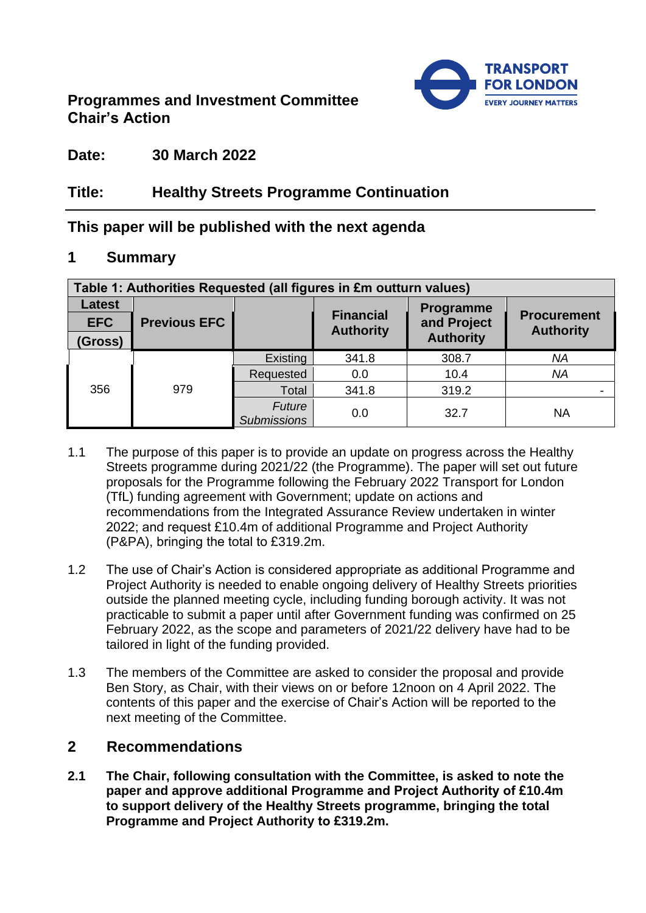# **Programmes and Investment Committee Chair's Action**



# **Date: 30 March 2022**

# **Title: Healthy Streets Programme Continuation**

# **This paper will be published with the next agenda**

## **1 Summary**

| Table 1: Authorities Requested (all figures in £m outturn values) |                     |                              |                                      |                  |                                        |
|-------------------------------------------------------------------|---------------------|------------------------------|--------------------------------------|------------------|----------------------------------------|
| <b>Latest</b>                                                     |                     |                              | Programme                            |                  |                                        |
| <b>EFC</b>                                                        | <b>Previous EFC</b> |                              | <b>Financial</b><br><b>Authority</b> | and Project      | <b>Procurement</b><br><b>Authority</b> |
| (Gross)                                                           |                     |                              |                                      | <b>Authority</b> |                                        |
|                                                                   |                     | Existing                     | 341.8                                | 308.7            | <b>NA</b>                              |
| 356                                                               | 979                 | Requested                    | 0.0                                  | 10.4             | <b>NA</b>                              |
|                                                                   |                     | Total                        | 341.8                                | 319.2            |                                        |
|                                                                   |                     | Future<br><b>Submissions</b> | 0.0                                  | 32.7             | <b>NA</b>                              |

- 1.1 The purpose of this paper is to provide an update on progress across the Healthy Streets programme during 2021/22 (the Programme). The paper will set out future proposals for the Programme following the February 2022 Transport for London (TfL) funding agreement with Government; update on actions and recommendations from the Integrated Assurance Review undertaken in winter 2022; and request £10.4m of additional Programme and Project Authority (P&PA), bringing the total to £319.2m.
- 1.2 The use of Chair's Action is considered appropriate as additional Programme and Project Authority is needed to enable ongoing delivery of Healthy Streets priorities outside the planned meeting cycle, including funding borough activity. It was not practicable to submit a paper until after Government funding was confirmed on 25 February 2022, as the scope and parameters of 2021/22 delivery have had to be tailored in light of the funding provided.
- 1.3 The members of the Committee are asked to consider the proposal and provide Ben Story, as Chair, with their views on or before 12noon on 4 April 2022. The contents of this paper and the exercise of Chair's Action will be reported to the next meeting of the Committee.

# **2 Recommendations**

**2.1 The Chair, following consultation with the Committee, is asked to note the paper and approve additional Programme and Project Authority of £10.4m to support delivery of the Healthy Streets programme, bringing the total Programme and Project Authority to £319.2m.**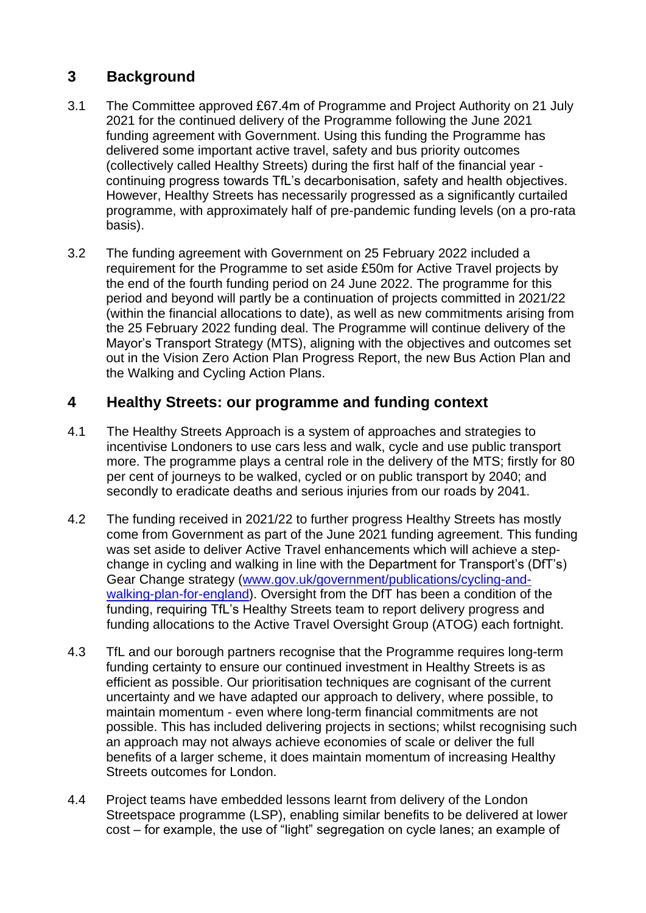# **3 Background**

- 3.1 The Committee approved £67.4m of Programme and Project Authority on 21 July 2021 for the continued delivery of the Programme following the June 2021 funding agreement with Government. Using this funding the Programme has delivered some important active travel, safety and bus priority outcomes (collectively called Healthy Streets) during the first half of the financial year continuing progress towards TfL's decarbonisation, safety and health objectives. However, Healthy Streets has necessarily progressed as a significantly curtailed programme, with approximately half of pre-pandemic funding levels (on a pro-rata basis).
- 3.2 The funding agreement with Government on 25 February 2022 included a requirement for the Programme to set aside £50m for Active Travel projects by the end of the fourth funding period on 24 June 2022. The programme for this period and beyond will partly be a continuation of projects committed in 2021/22 (within the financial allocations to date), as well as new commitments arising from the 25 February 2022 funding deal. The Programme will continue delivery of the Mayor's Transport Strategy (MTS), aligning with the objectives and outcomes set out in the Vision Zero Action Plan Progress Report, the new Bus Action Plan and the Walking and Cycling Action Plans.

# **4 Healthy Streets: our programme and funding context**

- 4.1 The Healthy Streets Approach is a system of approaches and strategies to incentivise Londoners to use cars less and walk, cycle and use public transport more. The programme plays a central role in the delivery of the MTS; firstly for 80 per cent of journeys to be walked, cycled or on public transport by 2040; and secondly to eradicate deaths and serious injuries from our roads by 2041.
- 4.2 The funding received in 2021/22 to further progress Healthy Streets has mostly come from Government as part of the June 2021 funding agreement. This funding was set aside to deliver Active Travel enhancements which will achieve a stepchange in cycling and walking in line with the Department for Transport's (DfT's) Gear Change strategy [\(www.gov.uk/government/publications/cycling-and](http://www.gov.uk/government/publications/cycling-and-walking-plan-for-england)[walking-plan-for-england\)](http://www.gov.uk/government/publications/cycling-and-walking-plan-for-england). Oversight from the DfT has been a condition of the funding, requiring TfL's Healthy Streets team to report delivery progress and funding allocations to the Active Travel Oversight Group (ATOG) each fortnight.
- 4.3 TfL and our borough partners recognise that the Programme requires long-term funding certainty to ensure our continued investment in Healthy Streets is as efficient as possible. Our prioritisation techniques are cognisant of the current uncertainty and we have adapted our approach to delivery, where possible, to maintain momentum - even where long-term financial commitments are not possible. This has included delivering projects in sections; whilst recognising such an approach may not always achieve economies of scale or deliver the full benefits of a larger scheme, it does maintain momentum of increasing Healthy Streets outcomes for London.
- 4.4 Project teams have embedded lessons learnt from delivery of the London Streetspace programme (LSP), enabling similar benefits to be delivered at lower cost – for example, the use of "light" segregation on cycle lanes; an example of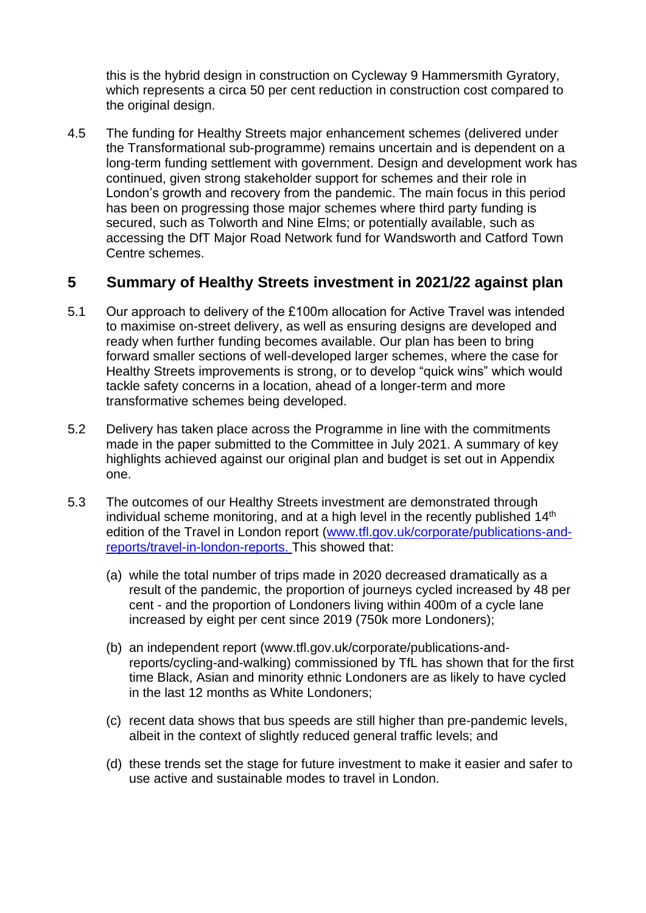this is the hybrid design in construction on Cycleway 9 Hammersmith Gyratory, which represents a circa 50 per cent reduction in construction cost compared to the original design.

4.5 The funding for Healthy Streets major enhancement schemes (delivered under the Transformational sub-programme) remains uncertain and is dependent on a long-term funding settlement with government. Design and development work has continued, given strong stakeholder support for schemes and their role in London's growth and recovery from the pandemic. The main focus in this period has been on progressing those major schemes where third party funding is secured, such as Tolworth and Nine Elms; or potentially available, such as accessing the DfT Major Road Network fund for Wandsworth and Catford Town Centre schemes.

## **5 Summary of Healthy Streets investment in 2021/22 against plan**

- 5.1 Our approach to delivery of the £100m allocation for Active Travel was intended to maximise on-street delivery, as well as ensuring designs are developed and ready when further funding becomes available. Our plan has been to bring forward smaller sections of well-developed larger schemes, where the case for Healthy Streets improvements is strong, or to develop "quick wins" which would tackle safety concerns in a location, ahead of a longer-term and more transformative schemes being developed.
- 5.2 Delivery has taken place across the Programme in line with the commitments made in the paper submitted to the Committee in July 2021. A summary of key highlights achieved against our original plan and budget is set out in Appendix one.
- 5.3 The outcomes of our Healthy Streets investment are demonstrated through individual scheme monitoring, and at a high level in the recently published  $14<sup>th</sup>$ edition of the Travel in London report [\(www.tfl.gov.uk/corporate/publications-and](http://www.tfl.gov.uk/corporate/publications-and-reports/travel-in-london-reports)[reports/travel-in-london-reports.](http://www.tfl.gov.uk/corporate/publications-and-reports/travel-in-london-reports) This showed that:
	- (a) while the total number of trips made in 2020 decreased dramatically as a result of the pandemic, the proportion of journeys cycled increased by 48 per cent - and the proportion of Londoners living within 400m of a cycle lane increased by eight per cent since 2019 (750k more Londoners);
	- (b) an independent report [\(www.tfl.gov.uk/corporate/publications-and](http://www.tfl.gov.uk/corporate/publications-and-reports/cycling-and-walking)[reports/cycling-and-walking\)](http://www.tfl.gov.uk/corporate/publications-and-reports/cycling-and-walking) commissioned by TfL has shown that for the first time Black, Asian and minority ethnic Londoners are as likely to have cycled in the last 12 months as White Londoners;
	- (c) recent data shows that bus speeds are still higher than pre-pandemic levels, albeit in the context of slightly reduced general traffic levels; and
	- (d) these trends set the stage for future investment to make it easier and safer to use active and sustainable modes to travel in London.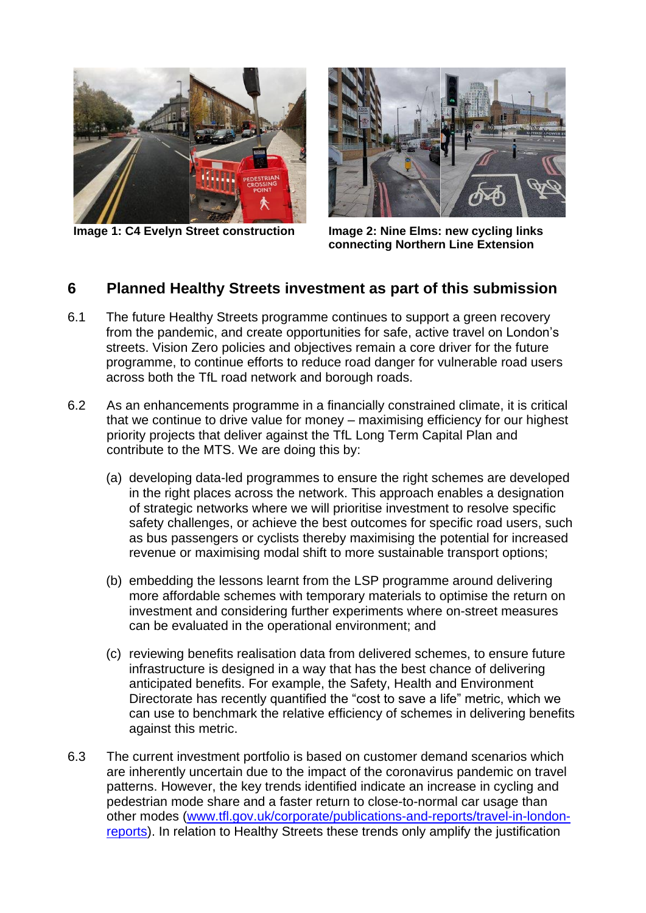

**Image 1: C4 Evelyn Street construction Image 2: Nine Elms: new cycling links** 



**connecting Northern Line Extension** 

## **6 Planned Healthy Streets investment as part of this submission**

- 6.1 The future Healthy Streets programme continues to support a green recovery from the pandemic, and create opportunities for safe, active travel on London's streets. Vision Zero policies and objectives remain a core driver for the future programme, to continue efforts to reduce road danger for vulnerable road users across both the TfL road network and borough roads.
- 6.2 As an enhancements programme in a financially constrained climate, it is critical that we continue to drive value for money – maximising efficiency for our highest priority projects that deliver against the TfL Long Term Capital Plan and contribute to the MTS. We are doing this by:
	- (a) developing data-led programmes to ensure the right schemes are developed in the right places across the network. This approach enables a designation of strategic networks where we will prioritise investment to resolve specific safety challenges, or achieve the best outcomes for specific road users, such as bus passengers or cyclists thereby maximising the potential for increased revenue or maximising modal shift to more sustainable transport options;
	- (b) embedding the lessons learnt from the LSP programme around delivering more affordable schemes with temporary materials to optimise the return on investment and considering further experiments where on-street measures can be evaluated in the operational environment; and
	- (c) reviewing benefits realisation data from delivered schemes, to ensure future infrastructure is designed in a way that has the best chance of delivering anticipated benefits. For example, the Safety, Health and Environment Directorate has recently quantified the "cost to save a life" metric, which we can use to benchmark the relative efficiency of schemes in delivering benefits against this metric.
- 6.3 The current investment portfolio is based on customer demand scenarios which are inherently uncertain due to the impact of the coronavirus pandemic on travel patterns. However, the key trends identified indicate an increase in cycling and pedestrian mode share and a faster return to close-to-normal car usage than other modes [\(www.tfl.gov.uk/corporate/publications-and-reports/travel-in-london](http://www.tfl.gov.uk/corporate/publications-and-reports/travel-in-london-reports)[reports\)](http://www.tfl.gov.uk/corporate/publications-and-reports/travel-in-london-reports). In relation to Healthy Streets these trends only amplify the justification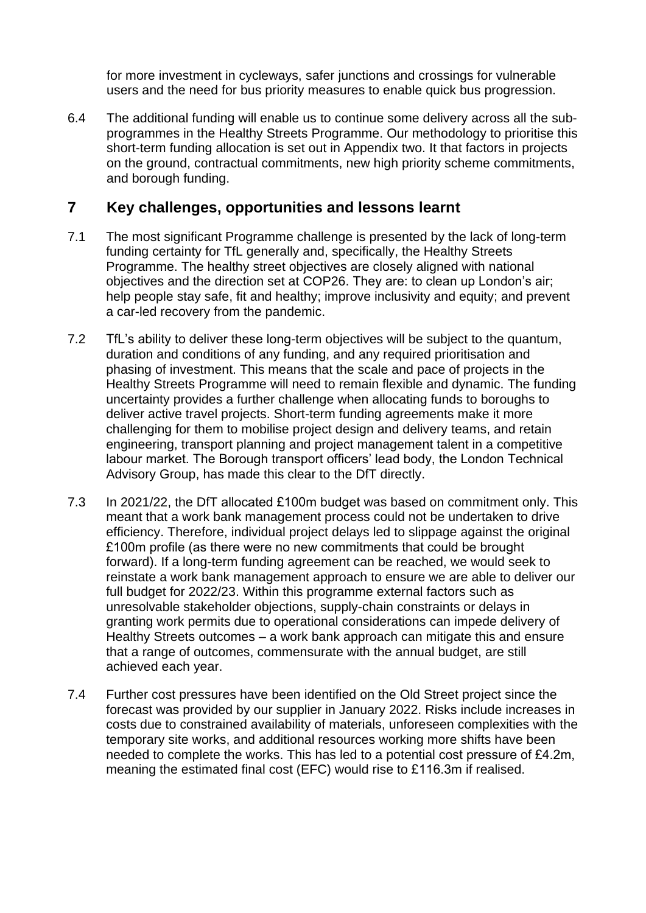for more investment in cycleways, safer junctions and crossings for vulnerable users and the need for bus priority measures to enable quick bus progression.

6.4 The additional funding will enable us to continue some delivery across all the subprogrammes in the Healthy Streets Programme. Our methodology to prioritise this short-term funding allocation is set out in Appendix two. It that factors in projects on the ground, contractual commitments, new high priority scheme commitments, and borough funding.

## **7 Key challenges, opportunities and lessons learnt**

- 7.1 The most significant Programme challenge is presented by the lack of long-term funding certainty for TfL generally and, specifically, the Healthy Streets Programme. The healthy street objectives are closely aligned with national objectives and the direction set at COP26. They are: to clean up London's air; help people stay safe, fit and healthy; improve inclusivity and equity; and prevent a car-led recovery from the pandemic.
- 7.2 TfL's ability to deliver these long-term objectives will be subject to the quantum, duration and conditions of any funding, and any required prioritisation and phasing of investment. This means that the scale and pace of projects in the Healthy Streets Programme will need to remain flexible and dynamic. The funding uncertainty provides a further challenge when allocating funds to boroughs to deliver active travel projects. Short-term funding agreements make it more challenging for them to mobilise project design and delivery teams, and retain engineering, transport planning and project management talent in a competitive labour market. The Borough transport officers' lead body, the London Technical Advisory Group, has made this clear to the DfT directly.
- 7.3 In 2021/22, the DfT allocated £100m budget was based on commitment only. This meant that a work bank management process could not be undertaken to drive efficiency. Therefore, individual project delays led to slippage against the original £100m profile (as there were no new commitments that could be brought forward). If a long-term funding agreement can be reached, we would seek to reinstate a work bank management approach to ensure we are able to deliver our full budget for 2022/23. Within this programme external factors such as unresolvable stakeholder objections, supply-chain constraints or delays in granting work permits due to operational considerations can impede delivery of Healthy Streets outcomes – a work bank approach can mitigate this and ensure that a range of outcomes, commensurate with the annual budget, are still achieved each year.
- 7.4 Further cost pressures have been identified on the Old Street project since the forecast was provided by our supplier in January 2022. Risks include increases in costs due to constrained availability of materials, unforeseen complexities with the temporary site works, and additional resources working more shifts have been needed to complete the works. This has led to a potential cost pressure of £4.2m, meaning the estimated final cost (EFC) would rise to £116.3m if realised.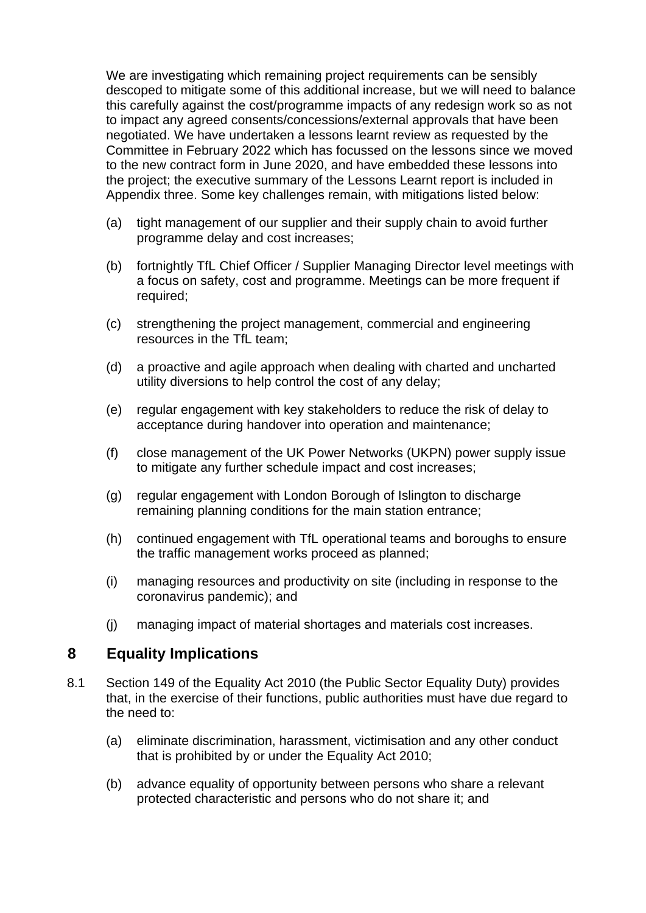We are investigating which remaining project requirements can be sensibly descoped to mitigate some of this additional increase, but we will need to balance this carefully against the cost/programme impacts of any redesign work so as not to impact any agreed consents/concessions/external approvals that have been negotiated. We have undertaken a lessons learnt review as requested by the Committee in February 2022 which has focussed on the lessons since we moved to the new contract form in June 2020, and have embedded these lessons into the project; the executive summary of the Lessons Learnt report is included in Appendix three. Some key challenges remain, with mitigations listed below:

- (a) tight management of our supplier and their supply chain to avoid further programme delay and cost increases;
- (b) fortnightly TfL Chief Officer / Supplier Managing Director level meetings with a focus on safety, cost and programme. Meetings can be more frequent if required;
- (c) strengthening the project management, commercial and engineering resources in the TfL team;
- (d) a proactive and agile approach when dealing with charted and uncharted utility diversions to help control the cost of any delay;
- (e) regular engagement with key stakeholders to reduce the risk of delay to acceptance during handover into operation and maintenance;
- (f) close management of the UK Power Networks (UKPN) power supply issue to mitigate any further schedule impact and cost increases;
- (g) regular engagement with London Borough of Islington to discharge remaining planning conditions for the main station entrance;
- (h) continued engagement with TfL operational teams and boroughs to ensure the traffic management works proceed as planned;
- (i) managing resources and productivity on site (including in response to the coronavirus pandemic); and
- (j) managing impact of material shortages and materials cost increases.

## **8 Equality Implications**

- 8.1 Section 149 of the Equality Act 2010 (the Public Sector Equality Duty) provides that, in the exercise of their functions, public authorities must have due regard to the need to:
	- (a) eliminate discrimination, harassment, victimisation and any other conduct that is prohibited by or under the Equality Act 2010;
	- (b) advance equality of opportunity between persons who share a relevant protected characteristic and persons who do not share it; and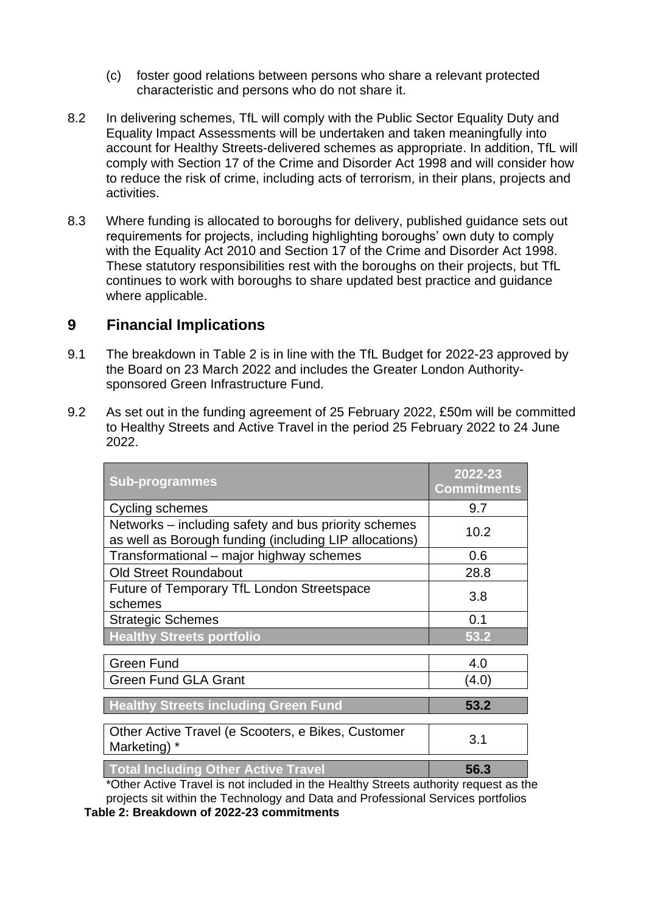- (c) foster good relations between persons who share a relevant protected characteristic and persons who do not share it.
- 8.2 In delivering schemes, TfL will comply with the Public Sector Equality Duty and Equality Impact Assessments will be undertaken and taken meaningfully into account for Healthy Streets-delivered schemes as appropriate. In addition, TfL will comply with Section 17 of the Crime and Disorder Act 1998 and will consider how to reduce the risk of crime, including acts of terrorism, in their plans, projects and activities.
- 8.3 Where funding is allocated to boroughs for delivery, published guidance sets out requirements for projects, including highlighting boroughs' own duty to comply with the Equality Act 2010 and Section 17 of the Crime and Disorder Act 1998. These statutory responsibilities rest with the boroughs on their projects, but TfL continues to work with boroughs to share updated best practice and guidance where applicable.

#### **9 Financial Implications**

- 9.1 The breakdown in Table 2 is in line with the TfL Budget for 2022-23 approved by the Board on 23 March 2022 and includes the Greater London Authoritysponsored Green Infrastructure Fund.
- 9.2 As set out in the funding agreement of 25 February 2022, £50m will be committed to Healthy Streets and Active Travel in the period 25 February 2022 to 24 June 2022.

| <b>Sub-programmes</b>                                                                                          | 2022-23<br><b>Commitments</b> |
|----------------------------------------------------------------------------------------------------------------|-------------------------------|
| Cycling schemes                                                                                                | 9.7                           |
| Networks – including safety and bus priority schemes<br>as well as Borough funding (including LIP allocations) | 10.2                          |
| Transformational – major highway schemes                                                                       | 0.6                           |
| <b>Old Street Roundabout</b>                                                                                   | 28.8                          |
| Future of Temporary TfL London Streetspace<br>schemes                                                          | 3.8                           |
| <b>Strategic Schemes</b>                                                                                       | 0.1                           |
| <b>Healthy Streets portfolio</b>                                                                               | 53.2                          |
| <b>Green Fund</b>                                                                                              | 4.0                           |
| <b>Green Fund GLA Grant</b>                                                                                    | (4.0)                         |
| <b>Healthy Streets including Green Fund</b>                                                                    | 53.2                          |
| Other Active Travel (e Scooters, e Bikes, Customer<br>Marketing) *                                             | 3.1                           |
| <b>Total Including Other Active Travel</b>                                                                     | 56.3                          |

\*Other Active Travel is not included in the Healthy Streets authority request as the projects sit within the Technology and Data and Professional Services portfolios  **Table 2: Breakdown of 2022-23 commitments**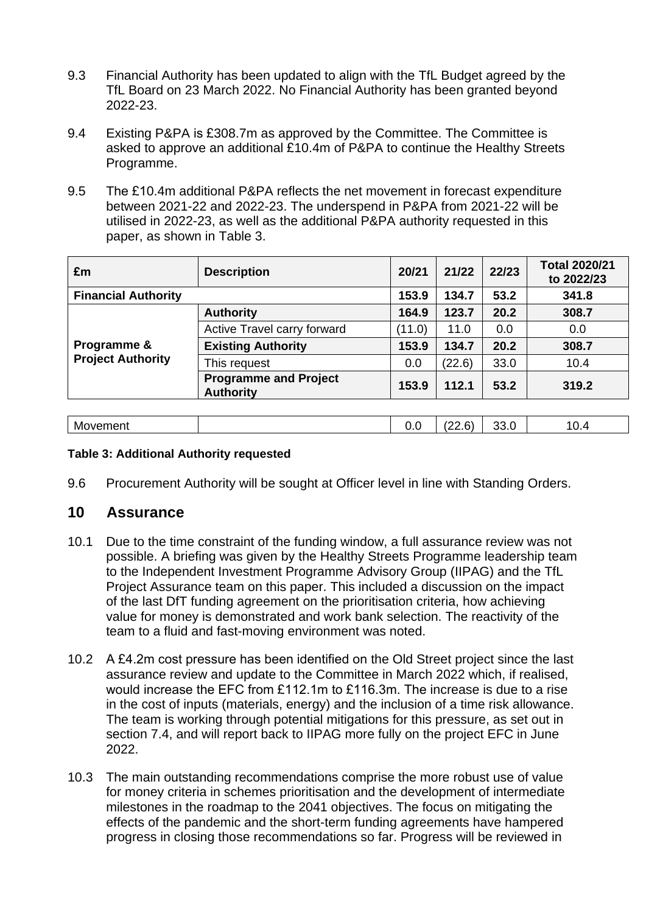- 9.3 Financial Authority has been updated to align with the TfL Budget agreed by the TfL Board on 23 March 2022. No Financial Authority has been granted beyond 2022-23.
- 9.4 Existing P&PA is £308.7m as approved by the Committee. The Committee is asked to approve an additional £10.4m of P&PA to continue the Healthy Streets Programme.
- 9.5 The £10.4m additional P&PA reflects the net movement in forecast expenditure between 2021-22 and 2022-23. The underspend in P&PA from 2021-22 will be utilised in 2022-23, as well as the additional P&PA authority requested in this paper, as shown in Table 3.

| £m                         | <b>Description</b>                               | 20/21  | 21/22  | 22/23 | <b>Total 2020/21</b><br>to 2022/23 |
|----------------------------|--------------------------------------------------|--------|--------|-------|------------------------------------|
| <b>Financial Authority</b> |                                                  | 153.9  | 134.7  | 53.2  | 341.8                              |
|                            | <b>Authority</b>                                 | 164.9  | 123.7  | 20.2  | 308.7                              |
|                            | Active Travel carry forward                      | (11.0) | 11.0   | 0.0   | 0.0                                |
| Programme &                | <b>Existing Authority</b>                        | 153.9  | 134.7  | 20.2  | 308.7                              |
| <b>Project Authority</b>   | This request                                     | 0.0    | (22.6) | 33.0  | 10.4                               |
|                            | <b>Programme and Project</b><br><b>Authority</b> | 153.9  | 112.1  | 53.2  | 319.2                              |
|                            |                                                  |        |        |       |                                    |
| Movement                   |                                                  | 0.0    | (22.6) | 33.0  | 10.4                               |

#### **Table 3: Additional Authority requested**

9.6 Procurement Authority will be sought at Officer level in line with Standing Orders.

#### **10 Assurance**

- 10.1 Due to the time constraint of the funding window, a full assurance review was not possible. A briefing was given by the Healthy Streets Programme leadership team to the Independent Investment Programme Advisory Group (IIPAG) and the TfL Project Assurance team on this paper. This included a discussion on the impact of the last DfT funding agreement on the prioritisation criteria, how achieving value for money is demonstrated and work bank selection. The reactivity of the team to a fluid and fast-moving environment was noted.
- 10.2 A £4.2m cost pressure has been identified on the Old Street project since the last assurance review and update to the Committee in March 2022 which, if realised, would increase the EFC from £112.1m to £116.3m. The increase is due to a rise in the cost of inputs (materials, energy) and the inclusion of a time risk allowance. The team is working through potential mitigations for this pressure, as set out in section 7.4, and will report back to IIPAG more fully on the project EFC in June 2022.
- 10.3 The main outstanding recommendations comprise the more robust use of value for money criteria in schemes prioritisation and the development of intermediate milestones in the roadmap to the 2041 objectives. The focus on mitigating the effects of the pandemic and the short-term funding agreements have hampered progress in closing those recommendations so far. Progress will be reviewed in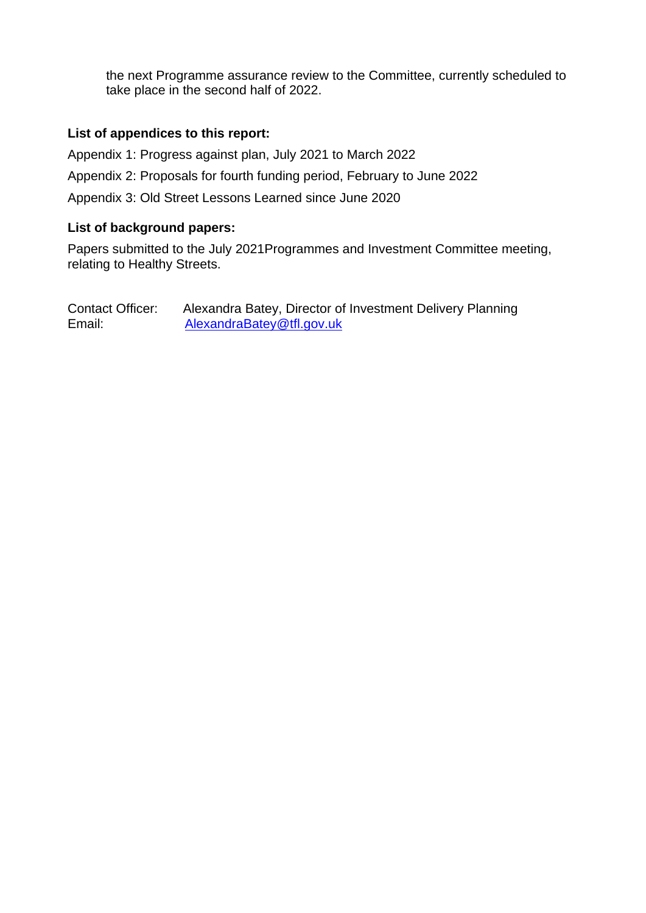the next Programme assurance review to the Committee, currently scheduled to take place in the second half of 2022.

#### **List of appendices to this report:**

Appendix 1: Progress against plan, July 2021 to March 2022 Appendix 2: Proposals for fourth funding period, February to June 2022 Appendix 3: Old Street Lessons Learned since June 2020

#### **List of background papers:**

Papers submitted to the July 2021Programmes and Investment Committee meeting, relating to Healthy Streets.

Contact Officer: Alexandra Batey, Director of Investment Delivery Planning Email: [AlexandraBatey@tfl.gov.uk](mailto:AlexandraBatey@tfl.gov.uk)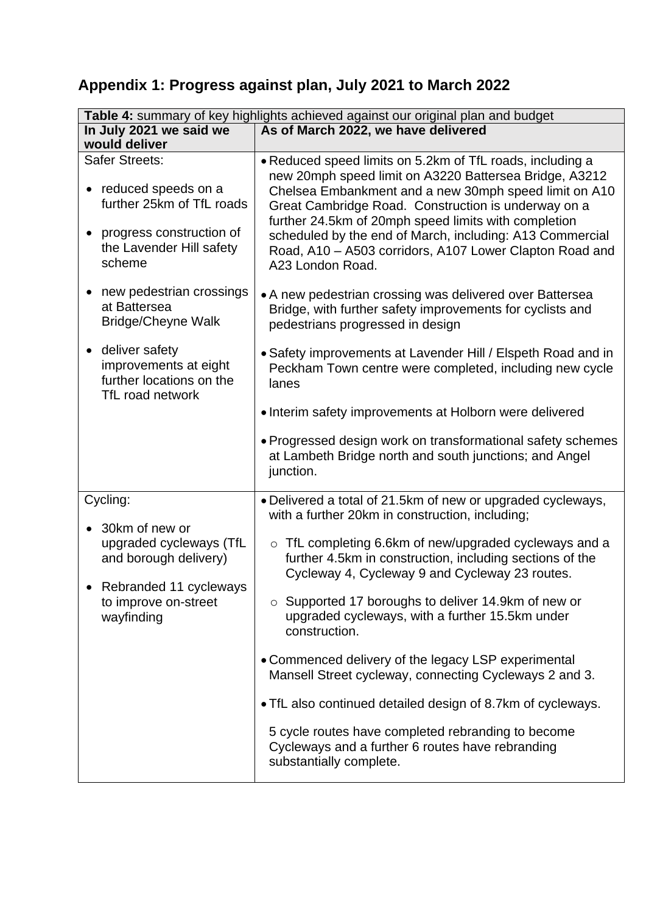# **Appendix 1: Progress against plan, July 2021 to March 2022**

| Table 4: summary of key highlights achieved against our original plan and budget                                                                    |                                                                                                                                                                                                                                                                                                                                                                                                                                        |  |  |
|-----------------------------------------------------------------------------------------------------------------------------------------------------|----------------------------------------------------------------------------------------------------------------------------------------------------------------------------------------------------------------------------------------------------------------------------------------------------------------------------------------------------------------------------------------------------------------------------------------|--|--|
| In July 2021 we said we<br>would deliver                                                                                                            | As of March 2022, we have delivered                                                                                                                                                                                                                                                                                                                                                                                                    |  |  |
| Safer Streets:<br>• reduced speeds on a<br>further 25km of TfL roads<br>progress construction of<br>$\bullet$<br>the Lavender Hill safety<br>scheme | • Reduced speed limits on 5.2km of TfL roads, including a<br>new 20mph speed limit on A3220 Battersea Bridge, A3212<br>Chelsea Embankment and a new 30mph speed limit on A10<br>Great Cambridge Road. Construction is underway on a<br>further 24.5km of 20mph speed limits with completion<br>scheduled by the end of March, including: A13 Commercial<br>Road, A10 - A503 corridors, A107 Lower Clapton Road and<br>A23 London Road. |  |  |
| new pedestrian crossings<br>at Battersea<br><b>Bridge/Cheyne Walk</b>                                                                               | • A new pedestrian crossing was delivered over Battersea<br>Bridge, with further safety improvements for cyclists and<br>pedestrians progressed in design                                                                                                                                                                                                                                                                              |  |  |
| deliver safety<br>$\bullet$<br>improvements at eight<br>further locations on the<br>TfL road network                                                | • Safety improvements at Lavender Hill / Elspeth Road and in<br>Peckham Town centre were completed, including new cycle<br>lanes                                                                                                                                                                                                                                                                                                       |  |  |
|                                                                                                                                                     | • Interim safety improvements at Holborn were delivered                                                                                                                                                                                                                                                                                                                                                                                |  |  |
|                                                                                                                                                     | • Progressed design work on transformational safety schemes<br>at Lambeth Bridge north and south junctions; and Angel<br>junction.                                                                                                                                                                                                                                                                                                     |  |  |
| Cycling:<br>30km of new or<br>$\bullet$                                                                                                             | • Delivered a total of 21.5km of new or upgraded cycleways,<br>with a further 20km in construction, including;                                                                                                                                                                                                                                                                                                                         |  |  |
| upgraded cycleways (TfL<br>and borough delivery)<br>Rebranded 11 cycleways<br>to improve on-street<br>wayfinding                                    | o TfL completing 6.6km of new/upgraded cycleways and a<br>further 4.5km in construction, including sections of the<br>Cycleway 4, Cycleway 9 and Cycleway 23 routes.                                                                                                                                                                                                                                                                   |  |  |
|                                                                                                                                                     | $\circ$ Supported 17 boroughs to deliver 14.9km of new or<br>upgraded cycleways, with a further 15.5km under<br>construction.                                                                                                                                                                                                                                                                                                          |  |  |
|                                                                                                                                                     | • Commenced delivery of the legacy LSP experimental<br>Mansell Street cycleway, connecting Cycleways 2 and 3.                                                                                                                                                                                                                                                                                                                          |  |  |
|                                                                                                                                                     | . TfL also continued detailed design of 8.7km of cycleways.                                                                                                                                                                                                                                                                                                                                                                            |  |  |
|                                                                                                                                                     | 5 cycle routes have completed rebranding to become<br>Cycleways and a further 6 routes have rebranding<br>substantially complete.                                                                                                                                                                                                                                                                                                      |  |  |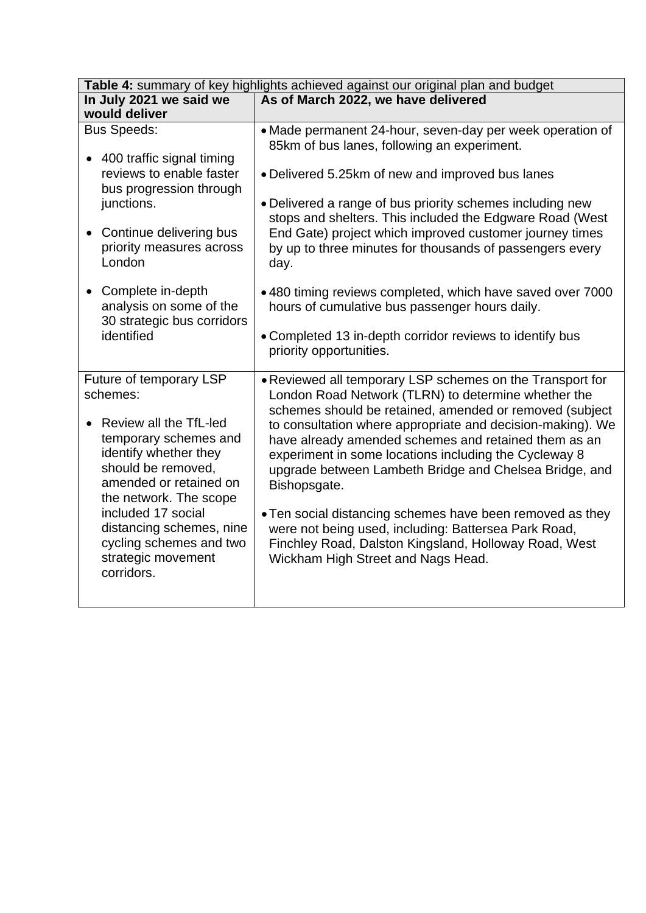| Table 4: summary of key highlights achieved against our original plan and budget                                                                                                                                                                                                                           |                                                                                                                                                                                                                                                                                                                                                                                                                                                                                                                                                                                                                                                          |  |
|------------------------------------------------------------------------------------------------------------------------------------------------------------------------------------------------------------------------------------------------------------------------------------------------------------|----------------------------------------------------------------------------------------------------------------------------------------------------------------------------------------------------------------------------------------------------------------------------------------------------------------------------------------------------------------------------------------------------------------------------------------------------------------------------------------------------------------------------------------------------------------------------------------------------------------------------------------------------------|--|
| In July 2021 we said we<br>would deliver                                                                                                                                                                                                                                                                   | As of March 2022, we have delivered                                                                                                                                                                                                                                                                                                                                                                                                                                                                                                                                                                                                                      |  |
| <b>Bus Speeds:</b><br>• 400 traffic signal timing<br>reviews to enable faster<br>bus progression through<br>junctions.<br>Continue delivering bus<br>$\bullet$<br>priority measures across<br>London                                                                                                       | • Made permanent 24-hour, seven-day per week operation of<br>85km of bus lanes, following an experiment.<br>• Delivered 5.25km of new and improved bus lanes<br>• Delivered a range of bus priority schemes including new<br>stops and shelters. This included the Edgware Road (West<br>End Gate) project which improved customer journey times<br>by up to three minutes for thousands of passengers every<br>day.                                                                                                                                                                                                                                     |  |
| Complete in-depth<br>$\bullet$<br>analysis on some of the<br>30 strategic bus corridors<br>identified                                                                                                                                                                                                      | •480 timing reviews completed, which have saved over 7000<br>hours of cumulative bus passenger hours daily.<br>• Completed 13 in-depth corridor reviews to identify bus<br>priority opportunities.                                                                                                                                                                                                                                                                                                                                                                                                                                                       |  |
| Future of temporary LSP<br>schemes:<br>Review all the TfL-led<br>temporary schemes and<br>identify whether they<br>should be removed,<br>amended or retained on<br>the network. The scope<br>included 17 social<br>distancing schemes, nine<br>cycling schemes and two<br>strategic movement<br>corridors. | • Reviewed all temporary LSP schemes on the Transport for<br>London Road Network (TLRN) to determine whether the<br>schemes should be retained, amended or removed (subject<br>to consultation where appropriate and decision-making). We<br>have already amended schemes and retained them as an<br>experiment in some locations including the Cycleway 8<br>upgrade between Lambeth Bridge and Chelsea Bridge, and<br>Bishopsgate.<br>• Ten social distancing schemes have been removed as they<br>were not being used, including: Battersea Park Road,<br>Finchley Road, Dalston Kingsland, Holloway Road, West<br>Wickham High Street and Nags Head. |  |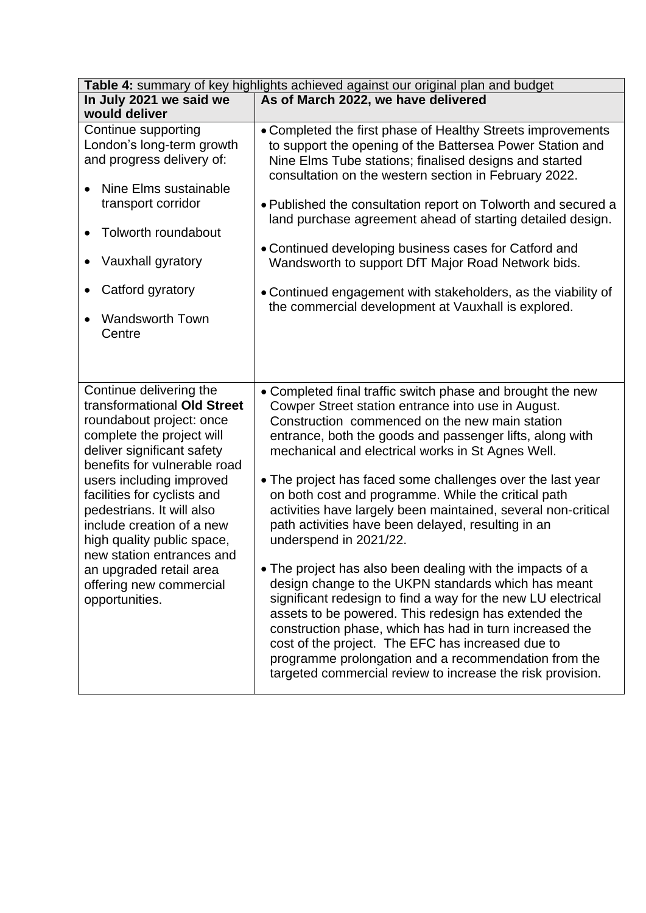| Table 4: summary of key highlights achieved against our original plan and budget                                                                                                                                                                                                                                                                                                                           |                                                                                                                                                                                                                                                                                                                                                                                                                                                                                                                                                                                                                                                                                                                                                                                                                                                                                                                                                                                                                                             |  |  |
|------------------------------------------------------------------------------------------------------------------------------------------------------------------------------------------------------------------------------------------------------------------------------------------------------------------------------------------------------------------------------------------------------------|---------------------------------------------------------------------------------------------------------------------------------------------------------------------------------------------------------------------------------------------------------------------------------------------------------------------------------------------------------------------------------------------------------------------------------------------------------------------------------------------------------------------------------------------------------------------------------------------------------------------------------------------------------------------------------------------------------------------------------------------------------------------------------------------------------------------------------------------------------------------------------------------------------------------------------------------------------------------------------------------------------------------------------------------|--|--|
| In July 2021 we said we                                                                                                                                                                                                                                                                                                                                                                                    | As of March 2022, we have delivered                                                                                                                                                                                                                                                                                                                                                                                                                                                                                                                                                                                                                                                                                                                                                                                                                                                                                                                                                                                                         |  |  |
| would deliver                                                                                                                                                                                                                                                                                                                                                                                              |                                                                                                                                                                                                                                                                                                                                                                                                                                                                                                                                                                                                                                                                                                                                                                                                                                                                                                                                                                                                                                             |  |  |
| Continue supporting<br>London's long-term growth<br>and progress delivery of:<br>Nine Elms sustainable<br>transport corridor<br>Tolworth roundabout<br>Vauxhall gyratory<br>Catford gyratory<br><b>Wandsworth Town</b><br>Centre                                                                                                                                                                           | • Completed the first phase of Healthy Streets improvements<br>to support the opening of the Battersea Power Station and<br>Nine Elms Tube stations; finalised designs and started<br>consultation on the western section in February 2022.<br>• Published the consultation report on Tolworth and secured a<br>land purchase agreement ahead of starting detailed design.<br>• Continued developing business cases for Catford and<br>Wandsworth to support DfT Major Road Network bids.<br>• Continued engagement with stakeholders, as the viability of<br>the commercial development at Vauxhall is explored.                                                                                                                                                                                                                                                                                                                                                                                                                           |  |  |
| Continue delivering the                                                                                                                                                                                                                                                                                                                                                                                    |                                                                                                                                                                                                                                                                                                                                                                                                                                                                                                                                                                                                                                                                                                                                                                                                                                                                                                                                                                                                                                             |  |  |
| transformational Old Street<br>roundabout project: once<br>complete the project will<br>deliver significant safety<br>benefits for vulnerable road<br>users including improved<br>facilities for cyclists and<br>pedestrians. It will also<br>include creation of a new<br>high quality public space,<br>new station entrances and<br>an upgraded retail area<br>offering new commercial<br>opportunities. | • Completed final traffic switch phase and brought the new<br>Cowper Street station entrance into use in August.<br>Construction commenced on the new main station<br>entrance, both the goods and passenger lifts, along with<br>mechanical and electrical works in St Agnes Well.<br>• The project has faced some challenges over the last year<br>on both cost and programme. While the critical path<br>activities have largely been maintained, several non-critical<br>path activities have been delayed, resulting in an<br>underspend in 2021/22.<br>• The project has also been dealing with the impacts of a<br>design change to the UKPN standards which has meant<br>significant redesign to find a way for the new LU electrical<br>assets to be powered. This redesign has extended the<br>construction phase, which has had in turn increased the<br>cost of the project. The EFC has increased due to<br>programme prolongation and a recommendation from the<br>targeted commercial review to increase the risk provision. |  |  |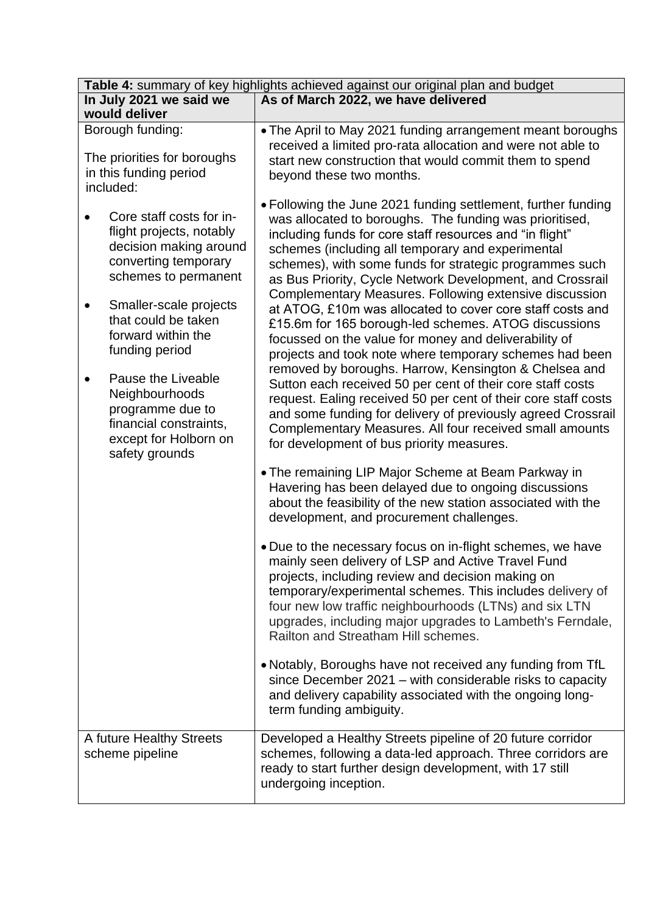| Table 4: summary of key highlights achieved against our original plan and budget                                                                                                                                                                                                                                                                         |                                                                                                                                                                                                                                                                                                                                                                                                                                                                                                                                                                                                                                                                                                                                                                                                                                                                                                                                                                                                                                       |  |  |  |
|----------------------------------------------------------------------------------------------------------------------------------------------------------------------------------------------------------------------------------------------------------------------------------------------------------------------------------------------------------|---------------------------------------------------------------------------------------------------------------------------------------------------------------------------------------------------------------------------------------------------------------------------------------------------------------------------------------------------------------------------------------------------------------------------------------------------------------------------------------------------------------------------------------------------------------------------------------------------------------------------------------------------------------------------------------------------------------------------------------------------------------------------------------------------------------------------------------------------------------------------------------------------------------------------------------------------------------------------------------------------------------------------------------|--|--|--|
| In July 2021 we said we                                                                                                                                                                                                                                                                                                                                  | As of March 2022, we have delivered                                                                                                                                                                                                                                                                                                                                                                                                                                                                                                                                                                                                                                                                                                                                                                                                                                                                                                                                                                                                   |  |  |  |
| would deliver                                                                                                                                                                                                                                                                                                                                            |                                                                                                                                                                                                                                                                                                                                                                                                                                                                                                                                                                                                                                                                                                                                                                                                                                                                                                                                                                                                                                       |  |  |  |
| Borough funding:<br>The priorities for boroughs<br>in this funding period<br>included:                                                                                                                                                                                                                                                                   | • The April to May 2021 funding arrangement meant boroughs<br>received a limited pro-rata allocation and were not able to<br>start new construction that would commit them to spend<br>beyond these two months.                                                                                                                                                                                                                                                                                                                                                                                                                                                                                                                                                                                                                                                                                                                                                                                                                       |  |  |  |
| Core staff costs for in-<br>flight projects, notably<br>decision making around<br>converting temporary<br>schemes to permanent<br>Smaller-scale projects<br>that could be taken<br>forward within the<br>funding period<br>Pause the Liveable<br>Neighbourhoods<br>programme due to<br>financial constraints,<br>except for Holborn on<br>safety grounds | • Following the June 2021 funding settlement, further funding<br>was allocated to boroughs. The funding was prioritised,<br>including funds for core staff resources and "in flight"<br>schemes (including all temporary and experimental<br>schemes), with some funds for strategic programmes such<br>as Bus Priority, Cycle Network Development, and Crossrail<br>Complementary Measures. Following extensive discussion<br>at ATOG, £10m was allocated to cover core staff costs and<br>£15.6m for 165 borough-led schemes. ATOG discussions<br>focussed on the value for money and deliverability of<br>projects and took note where temporary schemes had been<br>removed by boroughs. Harrow, Kensington & Chelsea and<br>Sutton each received 50 per cent of their core staff costs<br>request. Ealing received 50 per cent of their core staff costs<br>and some funding for delivery of previously agreed Crossrail<br>Complementary Measures. All four received small amounts<br>for development of bus priority measures. |  |  |  |
|                                                                                                                                                                                                                                                                                                                                                          | • The remaining LIP Major Scheme at Beam Parkway in<br>Havering has been delayed due to ongoing discussions<br>about the feasibility of the new station associated with the<br>development, and procurement challenges.                                                                                                                                                                                                                                                                                                                                                                                                                                                                                                                                                                                                                                                                                                                                                                                                               |  |  |  |
|                                                                                                                                                                                                                                                                                                                                                          | . Due to the necessary focus on in-flight schemes, we have<br>mainly seen delivery of LSP and Active Travel Fund<br>projects, including review and decision making on<br>temporary/experimental schemes. This includes delivery of<br>four new low traffic neighbourhoods (LTNs) and six LTN<br>upgrades, including major upgrades to Lambeth's Ferndale,<br>Railton and Streatham Hill schemes.                                                                                                                                                                                                                                                                                                                                                                                                                                                                                                                                                                                                                                      |  |  |  |
|                                                                                                                                                                                                                                                                                                                                                          | • Notably, Boroughs have not received any funding from TfL<br>since December 2021 – with considerable risks to capacity<br>and delivery capability associated with the ongoing long-<br>term funding ambiguity.                                                                                                                                                                                                                                                                                                                                                                                                                                                                                                                                                                                                                                                                                                                                                                                                                       |  |  |  |
| A future Healthy Streets<br>scheme pipeline                                                                                                                                                                                                                                                                                                              | Developed a Healthy Streets pipeline of 20 future corridor<br>schemes, following a data-led approach. Three corridors are<br>ready to start further design development, with 17 still<br>undergoing inception.                                                                                                                                                                                                                                                                                                                                                                                                                                                                                                                                                                                                                                                                                                                                                                                                                        |  |  |  |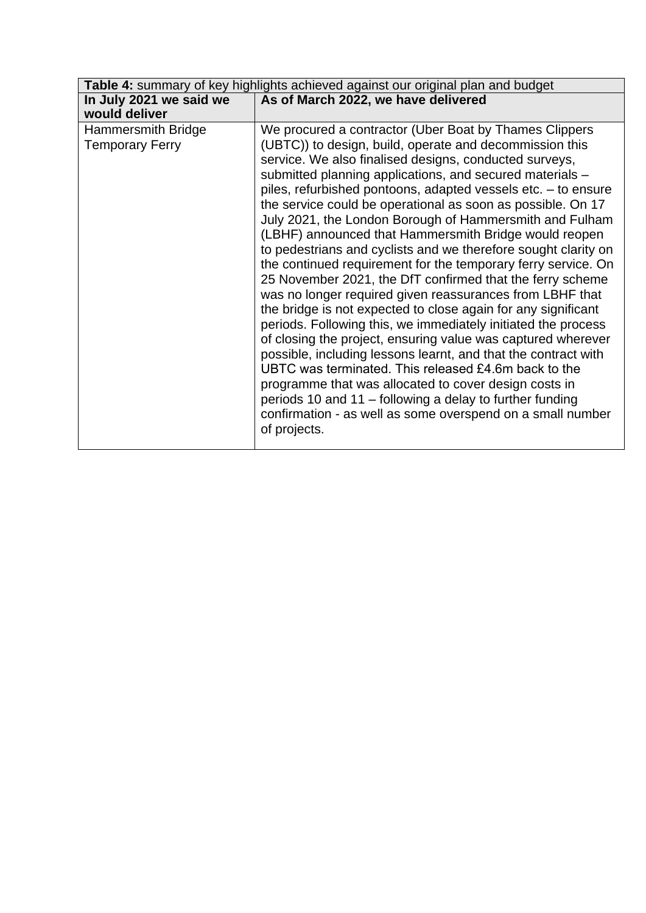| Table 4: summary of key highlights achieved against our original plan and budget |                                                                                                                                                                                                                                                                                                                                                                                                                                                                                                                                                                                                                                                                                                                                                                                                                                                                                                                                                                                                                                                                                                                                                                                                                                                                                        |  |
|----------------------------------------------------------------------------------|----------------------------------------------------------------------------------------------------------------------------------------------------------------------------------------------------------------------------------------------------------------------------------------------------------------------------------------------------------------------------------------------------------------------------------------------------------------------------------------------------------------------------------------------------------------------------------------------------------------------------------------------------------------------------------------------------------------------------------------------------------------------------------------------------------------------------------------------------------------------------------------------------------------------------------------------------------------------------------------------------------------------------------------------------------------------------------------------------------------------------------------------------------------------------------------------------------------------------------------------------------------------------------------|--|
| In July 2021 we said we<br>would deliver                                         | As of March 2022, we have delivered                                                                                                                                                                                                                                                                                                                                                                                                                                                                                                                                                                                                                                                                                                                                                                                                                                                                                                                                                                                                                                                                                                                                                                                                                                                    |  |
| Hammersmith Bridge<br><b>Temporary Ferry</b>                                     | We procured a contractor (Uber Boat by Thames Clippers<br>(UBTC)) to design, build, operate and decommission this<br>service. We also finalised designs, conducted surveys,<br>submitted planning applications, and secured materials -<br>piles, refurbished pontoons, adapted vessels etc. - to ensure<br>the service could be operational as soon as possible. On 17<br>July 2021, the London Borough of Hammersmith and Fulham<br>(LBHF) announced that Hammersmith Bridge would reopen<br>to pedestrians and cyclists and we therefore sought clarity on<br>the continued requirement for the temporary ferry service. On<br>25 November 2021, the DfT confirmed that the ferry scheme<br>was no longer required given reassurances from LBHF that<br>the bridge is not expected to close again for any significant<br>periods. Following this, we immediately initiated the process<br>of closing the project, ensuring value was captured wherever<br>possible, including lessons learnt, and that the contract with<br>UBTC was terminated. This released £4.6m back to the<br>programme that was allocated to cover design costs in<br>periods 10 and 11 – following a delay to further funding<br>confirmation - as well as some overspend on a small number<br>of projects. |  |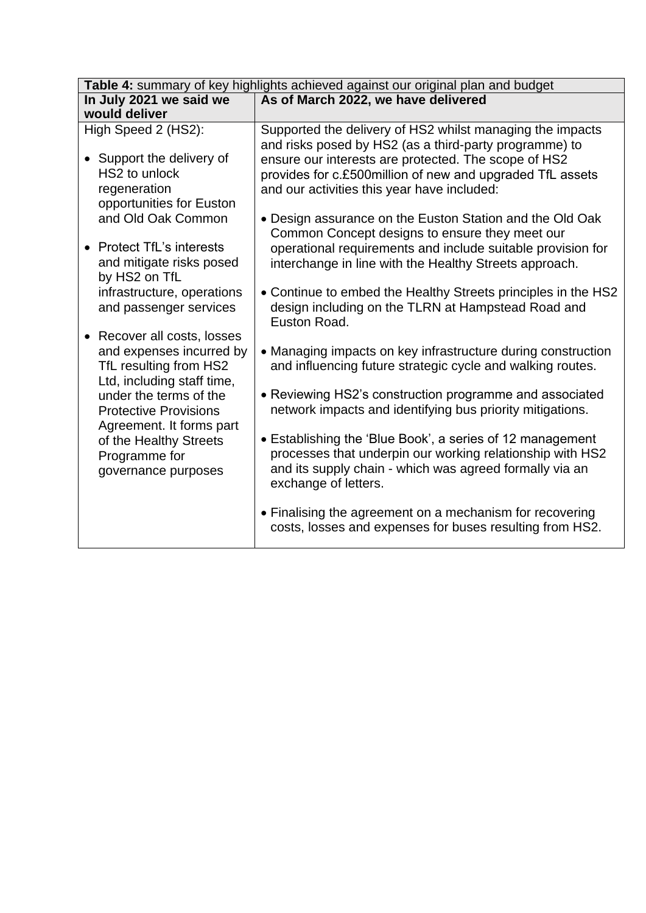| Table 4: summary of key highlights achieved against our original plan and budget |                                                               |  |  |
|----------------------------------------------------------------------------------|---------------------------------------------------------------|--|--|
| In July 2021 we said we                                                          | As of March 2022, we have delivered                           |  |  |
| would deliver                                                                    |                                                               |  |  |
| High Speed 2 (HS2):                                                              | Supported the delivery of HS2 whilst managing the impacts     |  |  |
|                                                                                  | and risks posed by HS2 (as a third-party programme) to        |  |  |
| • Support the delivery of                                                        | ensure our interests are protected. The scope of HS2          |  |  |
| HS2 to unlock                                                                    | provides for c.£500million of new and upgraded TfL assets     |  |  |
| regeneration                                                                     | and our activities this year have included:                   |  |  |
| opportunities for Euston                                                         |                                                               |  |  |
| and Old Oak Common                                                               | • Design assurance on the Euston Station and the Old Oak      |  |  |
| • Protect TfL's interests                                                        | Common Concept designs to ensure they meet our                |  |  |
|                                                                                  | operational requirements and include suitable provision for   |  |  |
| and mitigate risks posed<br>by HS2 on TfL                                        | interchange in line with the Healthy Streets approach.        |  |  |
| infrastructure, operations                                                       | • Continue to embed the Healthy Streets principles in the HS2 |  |  |
| and passenger services                                                           | design including on the TLRN at Hampstead Road and            |  |  |
|                                                                                  | Euston Road.                                                  |  |  |
| • Recover all costs, losses                                                      |                                                               |  |  |
| and expenses incurred by                                                         | • Managing impacts on key infrastructure during construction  |  |  |
| TfL resulting from HS2                                                           | and influencing future strategic cycle and walking routes.    |  |  |
| Ltd, including staff time,                                                       |                                                               |  |  |
| under the terms of the                                                           | • Reviewing HS2's construction programme and associated       |  |  |
| <b>Protective Provisions</b>                                                     | network impacts and identifying bus priority mitigations.     |  |  |
| Agreement. It forms part                                                         | • Establishing the 'Blue Book', a series of 12 management     |  |  |
| of the Healthy Streets                                                           | processes that underpin our working relationship with HS2     |  |  |
| Programme for                                                                    | and its supply chain - which was agreed formally via an       |  |  |
| governance purposes                                                              | exchange of letters.                                          |  |  |
|                                                                                  |                                                               |  |  |
|                                                                                  | • Finalising the agreement on a mechanism for recovering      |  |  |
|                                                                                  | costs, losses and expenses for buses resulting from HS2.      |  |  |
|                                                                                  |                                                               |  |  |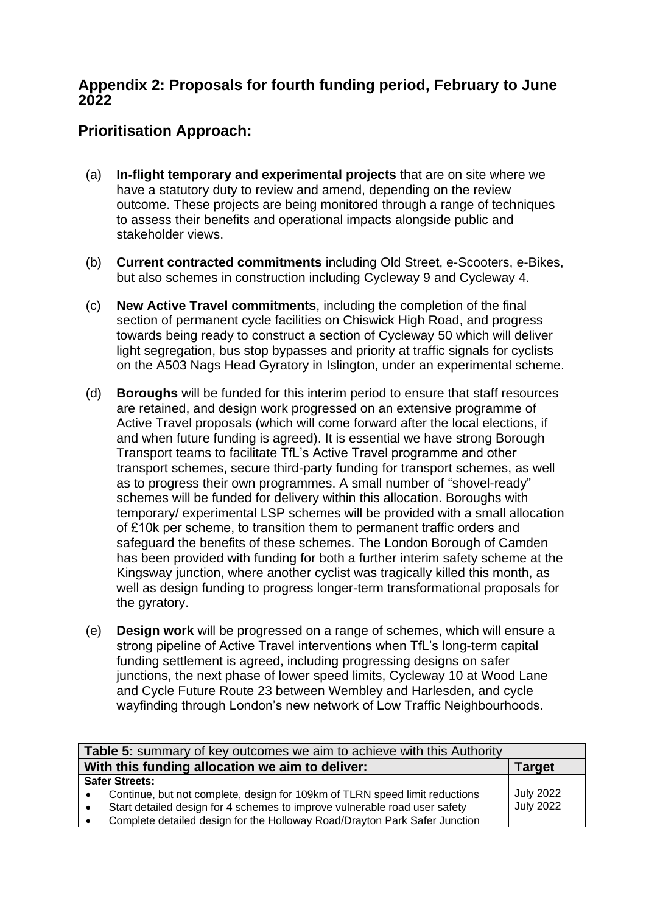## **Appendix 2: Proposals for fourth funding period, February to June 2022**

# **Prioritisation Approach:**

- (a) **In-flight temporary and experimental projects** that are on site where we have a statutory duty to review and amend, depending on the review outcome. These projects are being monitored through a range of techniques to assess their benefits and operational impacts alongside public and stakeholder views.
- (b) **Current contracted commitments** including Old Street, e-Scooters, e-Bikes, but also schemes in construction including Cycleway 9 and Cycleway 4.
- (c) **New Active Travel commitments**, including the completion of the final section of permanent cycle facilities on Chiswick High Road, and progress towards being ready to construct a section of Cycleway 50 which will deliver light segregation, bus stop bypasses and priority at traffic signals for cyclists on the A503 Nags Head Gyratory in Islington, under an experimental scheme.
- (d) **Boroughs** will be funded for this interim period to ensure that staff resources are retained, and design work progressed on an extensive programme of Active Travel proposals (which will come forward after the local elections, if and when future funding is agreed). It is essential we have strong Borough Transport teams to facilitate TfL's Active Travel programme and other transport schemes, secure third-party funding for transport schemes, as well as to progress their own programmes. A small number of "shovel-ready" schemes will be funded for delivery within this allocation. Boroughs with temporary/ experimental LSP schemes will be provided with a small allocation of £10k per scheme, to transition them to permanent traffic orders and safeguard the benefits of these schemes. The London Borough of Camden has been provided with funding for both a further interim safety scheme at the Kingsway junction, where another cyclist was tragically killed this month, as well as design funding to progress longer-term transformational proposals for the gyratory.
- (e) **Design work** will be progressed on a range of schemes, which will ensure a strong pipeline of Active Travel interventions when TfL's long-term capital funding settlement is agreed, including progressing designs on safer junctions, the next phase of lower speed limits, Cycleway 10 at Wood Lane and Cycle Future Route 23 between Wembley and Harlesden, and cycle wayfinding through London's new network of Low Traffic Neighbourhoods.

| <b>Table 5:</b> summary of key outcomes we aim to achieve with this Authority |                  |
|-------------------------------------------------------------------------------|------------------|
| With this funding allocation we aim to deliver:                               | <b>Target</b>    |
| <b>Safer Streets:</b>                                                         |                  |
| Continue, but not complete, design for 109km of TLRN speed limit reductions   | <b>July 2022</b> |
| Start detailed design for 4 schemes to improve vulnerable road user safety    | <b>July 2022</b> |
| Complete detailed design for the Holloway Road/Drayton Park Safer Junction    |                  |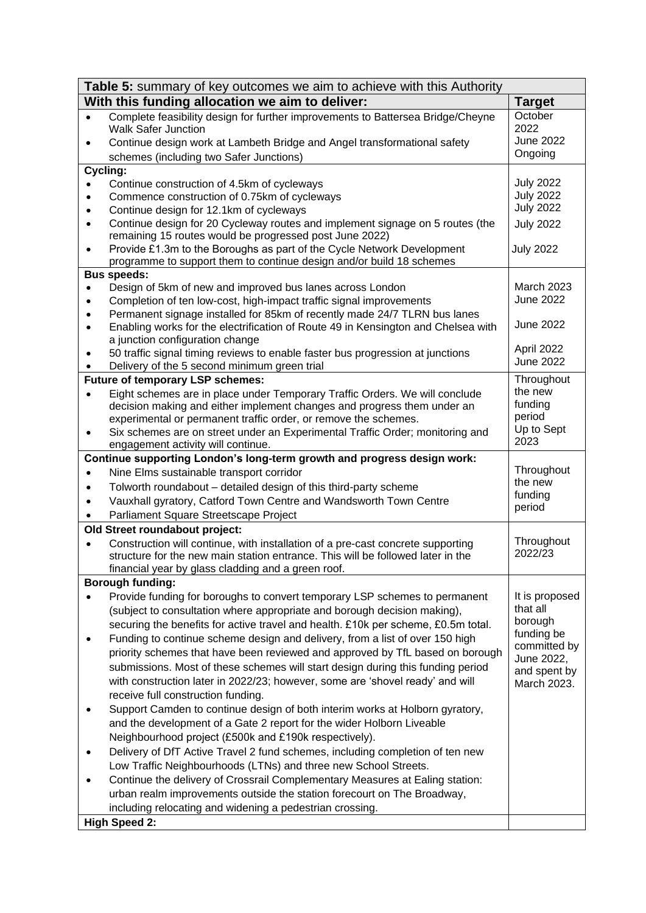| <b>Table 5:</b> summary of key outcomes we aim to achieve with this Authority |                                                                                                                                          |                            |  |
|-------------------------------------------------------------------------------|------------------------------------------------------------------------------------------------------------------------------------------|----------------------------|--|
|                                                                               | With this funding allocation we aim to deliver:                                                                                          | <b>Target</b>              |  |
| $\bullet$                                                                     | Complete feasibility design for further improvements to Battersea Bridge/Cheyne<br><b>Walk Safer Junction</b>                            | October<br>2022            |  |
| $\bullet$                                                                     | Continue design work at Lambeth Bridge and Angel transformational safety                                                                 | <b>June 2022</b>           |  |
|                                                                               | schemes (including two Safer Junctions)                                                                                                  | Ongoing                    |  |
|                                                                               | Cycling:                                                                                                                                 |                            |  |
|                                                                               | Continue construction of 4.5km of cycleways                                                                                              | <b>July 2022</b>           |  |
|                                                                               | Commence construction of 0.75km of cycleways                                                                                             | <b>July 2022</b>           |  |
|                                                                               | Continue design for 12.1km of cycleways                                                                                                  | <b>July 2022</b>           |  |
| $\bullet$                                                                     | Continue design for 20 Cycleway routes and implement signage on 5 routes (the<br>remaining 15 routes would be progressed post June 2022) | <b>July 2022</b>           |  |
|                                                                               | Provide £1.3m to the Boroughs as part of the Cycle Network Development                                                                   | <b>July 2022</b>           |  |
|                                                                               | programme to support them to continue design and/or build 18 schemes                                                                     |                            |  |
|                                                                               | <b>Bus speeds:</b><br>Design of 5km of new and improved bus lanes across London                                                          | <b>March 2023</b>          |  |
|                                                                               | Completion of ten low-cost, high-impact traffic signal improvements                                                                      | June 2022                  |  |
|                                                                               | Permanent signage installed for 85km of recently made 24/7 TLRN bus lanes                                                                |                            |  |
|                                                                               | Enabling works for the electrification of Route 49 in Kensington and Chelsea with                                                        | <b>June 2022</b>           |  |
|                                                                               | a junction configuration change                                                                                                          |                            |  |
|                                                                               | 50 traffic signal timing reviews to enable faster bus progression at junctions                                                           | April 2022                 |  |
|                                                                               | Delivery of the 5 second minimum green trial                                                                                             | <b>June 2022</b>           |  |
|                                                                               | <b>Future of temporary LSP schemes:</b>                                                                                                  | Throughout                 |  |
|                                                                               | Eight schemes are in place under Temporary Traffic Orders. We will conclude                                                              | the new                    |  |
|                                                                               | decision making and either implement changes and progress them under an                                                                  | funding                    |  |
|                                                                               | experimental or permanent traffic order, or remove the schemes.                                                                          | period                     |  |
| ٠                                                                             | Six schemes are on street under an Experimental Traffic Order; monitoring and<br>engagement activity will continue.                      | Up to Sept<br>2023         |  |
|                                                                               | Continue supporting London's long-term growth and progress design work:                                                                  |                            |  |
| $\bullet$                                                                     | Nine Elms sustainable transport corridor                                                                                                 | Throughout                 |  |
| $\bullet$                                                                     | Tolworth roundabout - detailed design of this third-party scheme                                                                         | the new                    |  |
| $\bullet$                                                                     | Vauxhall gyratory, Catford Town Centre and Wandsworth Town Centre                                                                        | funding                    |  |
|                                                                               | Parliament Square Streetscape Project                                                                                                    | period                     |  |
|                                                                               | Old Street roundabout project:                                                                                                           |                            |  |
|                                                                               | Construction will continue, with installation of a pre-cast concrete supporting                                                          | Throughout                 |  |
|                                                                               | structure for the new main station entrance. This will be followed later in the                                                          | 2022/23                    |  |
|                                                                               | financial year by glass cladding and a green roof.                                                                                       |                            |  |
|                                                                               | <b>Borough funding:</b>                                                                                                                  |                            |  |
|                                                                               | Provide funding for boroughs to convert temporary LSP schemes to permanent                                                               | It is proposed             |  |
|                                                                               | (subject to consultation where appropriate and borough decision making),                                                                 | that all                   |  |
|                                                                               | securing the benefits for active travel and health. £10k per scheme, £0.5m total.                                                        | borough                    |  |
|                                                                               | Funding to continue scheme design and delivery, from a list of over 150 high                                                             | funding be                 |  |
|                                                                               | priority schemes that have been reviewed and approved by TfL based on borough                                                            | committed by<br>June 2022, |  |
|                                                                               | submissions. Most of these schemes will start design during this funding period                                                          | and spent by               |  |
|                                                                               | with construction later in 2022/23; however, some are 'shovel ready' and will                                                            | March 2023.                |  |
|                                                                               | receive full construction funding.                                                                                                       |                            |  |
|                                                                               | Support Camden to continue design of both interim works at Holborn gyratory,                                                             |                            |  |
|                                                                               | and the development of a Gate 2 report for the wider Holborn Liveable                                                                    |                            |  |
|                                                                               | Neighbourhood project (£500k and £190k respectively).                                                                                    |                            |  |
|                                                                               | Delivery of DfT Active Travel 2 fund schemes, including completion of ten new                                                            |                            |  |
|                                                                               | Low Traffic Neighbourhoods (LTNs) and three new School Streets.                                                                          |                            |  |
|                                                                               | Continue the delivery of Crossrail Complementary Measures at Ealing station:                                                             |                            |  |
|                                                                               | urban realm improvements outside the station forecourt on The Broadway,                                                                  |                            |  |
|                                                                               | including relocating and widening a pedestrian crossing.                                                                                 |                            |  |
|                                                                               | <b>High Speed 2:</b>                                                                                                                     |                            |  |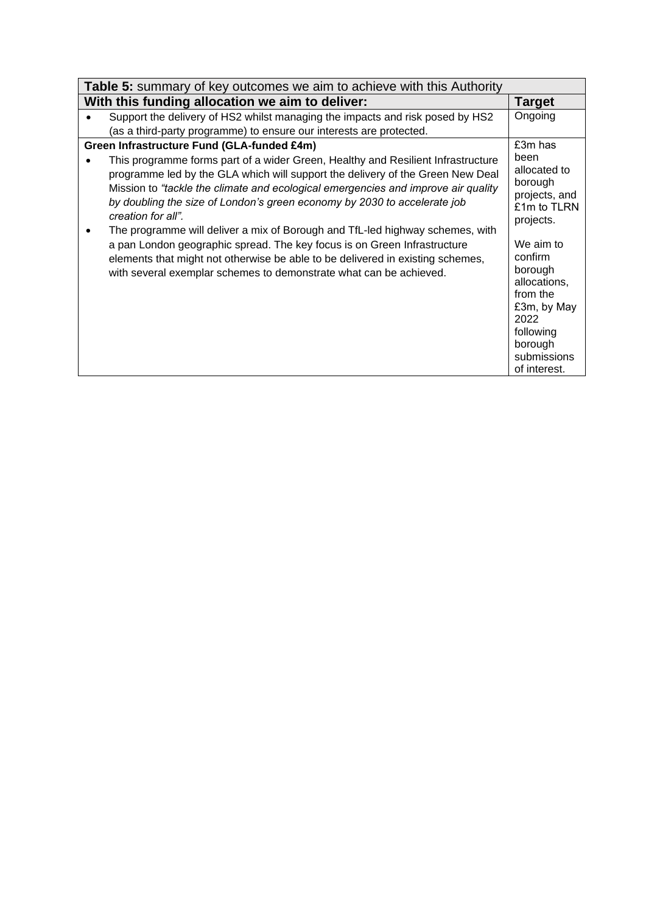| <b>Table 5:</b> summary of key outcomes we aim to achieve with this Authority                                                                                                                                                                                                                                                                                                                                                              |                                                                                                                                           |  |  |
|--------------------------------------------------------------------------------------------------------------------------------------------------------------------------------------------------------------------------------------------------------------------------------------------------------------------------------------------------------------------------------------------------------------------------------------------|-------------------------------------------------------------------------------------------------------------------------------------------|--|--|
| With this funding allocation we aim to deliver:                                                                                                                                                                                                                                                                                                                                                                                            | <b>Target</b>                                                                                                                             |  |  |
| Support the delivery of HS2 whilst managing the impacts and risk posed by HS2                                                                                                                                                                                                                                                                                                                                                              | Ongoing                                                                                                                                   |  |  |
| (as a third-party programme) to ensure our interests are protected.                                                                                                                                                                                                                                                                                                                                                                        |                                                                                                                                           |  |  |
| Green Infrastructure Fund (GLA-funded £4m)                                                                                                                                                                                                                                                                                                                                                                                                 | £3m has                                                                                                                                   |  |  |
| This programme forms part of a wider Green, Healthy and Resilient Infrastructure<br>programme led by the GLA which will support the delivery of the Green New Deal<br>Mission to "tackle the climate and ecological emergencies and improve air quality<br>by doubling the size of London's green economy by 2030 to accelerate job<br>creation for all".<br>The programme will deliver a mix of Borough and TfL-led highway schemes, with | been<br>allocated to<br>borough<br>projects, and<br>£1m to TLRN<br>projects.                                                              |  |  |
| a pan London geographic spread. The key focus is on Green Infrastructure<br>elements that might not otherwise be able to be delivered in existing schemes,<br>with several exemplar schemes to demonstrate what can be achieved.                                                                                                                                                                                                           | We aim to<br>confirm<br>borough<br>allocations,<br>from the<br>£3m, by May<br>2022<br>following<br>borough<br>submissions<br>of interest. |  |  |